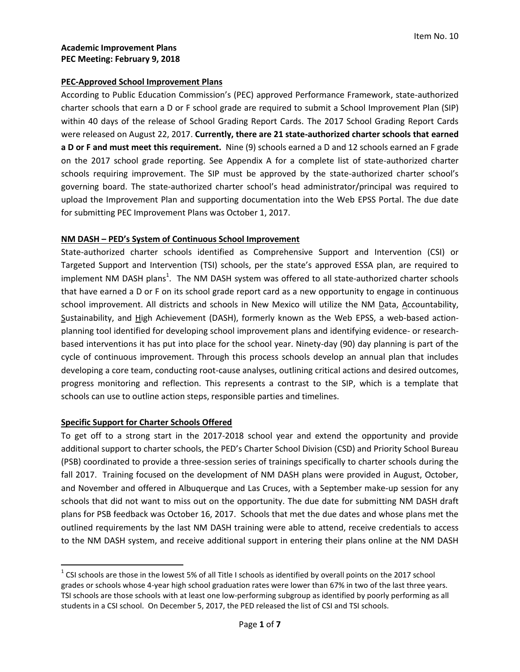#### **PEC-Approved School Improvement Plans**

According to Public Education Commission's (PEC) approved Performance Framework, state-authorized charter schools that earn a D or F school grade are required to submit a School Improvement Plan (SIP) within 40 days of the release of School Grading Report Cards. The 2017 School Grading Report Cards were released on August 22, 2017. **Currently, there are 21 state-authorized charter schools that earned a D or F and must meet this requirement.** Nine (9) schools earned a D and 12 schools earned an F grade on the 2017 school grade reporting. See Appendix A for a complete list of state-authorized charter schools requiring improvement. The SIP must be approved by the state-authorized charter school's governing board. The state-authorized charter school's head administrator/principal was required to upload the Improvement Plan and supporting documentation into the Web EPSS Portal. The due date for submitting PEC Improvement Plans was October 1, 2017.

#### **NM DASH – PED's System of Continuous School Improvement**

State-authorized charter schools identified as Comprehensive Support and Intervention (CSI) or Targeted Support and Intervention (TSI) schools, per the state's approved ESSA plan, are required to implement NM DASH plans<sup>1</sup>. The NM DASH system was offered to all state-authorized charter schools that have earned a D or F on its school grade report card as a new opportunity to engage in continuous school improvement. All districts and schools in New Mexico will utilize the NM Data, Accountability, Sustainability, and High Achievement (DASH), formerly known as the Web EPSS, a web-based actionplanning tool identified for developing school improvement plans and identifying evidence- or researchbased interventions it has put into place for the school year. Ninety-day (90) day planning is part of the cycle of continuous improvement. Through this process schools develop an annual plan that includes developing a core team, conducting root-cause analyses, outlining critical actions and desired outcomes, progress monitoring and reflection. This represents a contrast to the SIP, which is a template that schools can use to outline action steps, responsible parties and timelines.

#### **Specific Support for Charter Schools Offered**

 $\overline{a}$ 

To get off to a strong start in the 2017-2018 school year and extend the opportunity and provide additional support to charter schools, the PED's Charter School Division (CSD) and Priority School Bureau (PSB) coordinated to provide a three-session series of trainings specifically to charter schools during the fall 2017. Training focused on the development of NM DASH plans were provided in August, October, and November and offered in Albuquerque and Las Cruces, with a September make-up session for any schools that did not want to miss out on the opportunity. The due date for submitting NM DASH draft plans for PSB feedback was October 16, 2017. Schools that met the due dates and whose plans met the outlined requirements by the last NM DASH training were able to attend, receive credentials to access to the NM DASH system, and receive additional support in entering their plans online at the NM DASH

 $1$  CSI schools are those in the lowest 5% of all Title I schools as identified by overall points on the 2017 school grades or schools whose 4-year high school graduation rates were lower than 67% in two of the last three years. TSI schools are those schools with at least one low-performing subgroup as identified by poorly performing as all students in a CSI school. On December 5, 2017, the PED released the list of CSI and TSI schools.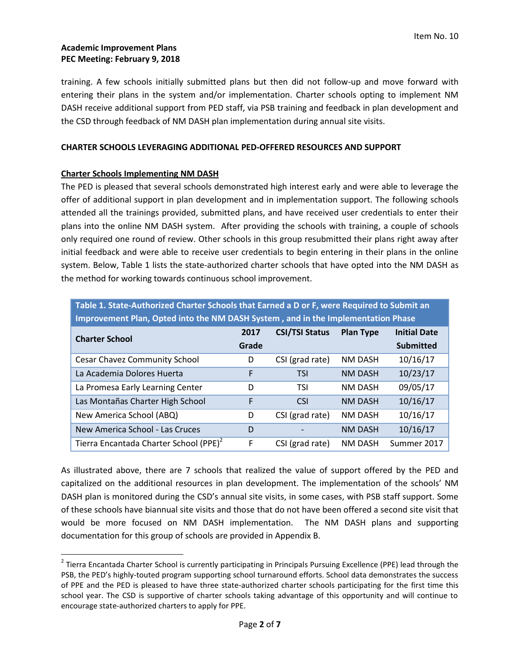training. A few schools initially submitted plans but then did not follow-up and move forward with entering their plans in the system and/or implementation. Charter schools opting to implement NM DASH receive additional support from PED staff, via PSB training and feedback in plan development and the CSD through feedback of NM DASH plan implementation during annual site visits.

### **CHARTER SCHOOLS LEVERAGING ADDITIONAL PED-OFFERED RESOURCES AND SUPPORT**

# **Charter Schools Implementing NM DASH**

l

The PED is pleased that several schools demonstrated high interest early and were able to leverage the offer of additional support in plan development and in implementation support. The following schools attended all the trainings provided, submitted plans, and have received user credentials to enter their plans into the online NM DASH system. After providing the schools with training, a couple of schools only required one round of review. Other schools in this group resubmitted their plans right away after initial feedback and were able to receive user credentials to begin entering in their plans in the online system. Below, Table 1 lists the state-authorized charter schools that have opted into the NM DASH as the method for working towards continuous school improvement.

| Table 1. State-Authorized Charter Schools that Earned a D or F, were Required to Submit an |       |                       |                  |                     |  |
|--------------------------------------------------------------------------------------------|-------|-----------------------|------------------|---------------------|--|
| Improvement Plan, Opted into the NM DASH System, and in the Implementation Phase           |       |                       |                  |                     |  |
| <b>Charter School</b>                                                                      | 2017  | <b>CSI/TSI Status</b> | <b>Plan Type</b> | <b>Initial Date</b> |  |
|                                                                                            | Grade |                       |                  | <b>Submitted</b>    |  |
| <b>Cesar Chavez Community School</b>                                                       | D     | CSI (grad rate)       | <b>NM DASH</b>   | 10/16/17            |  |
| La Academia Dolores Huerta                                                                 | F     | <b>TSI</b>            | <b>NM DASH</b>   | 10/23/17            |  |
| La Promesa Early Learning Center                                                           | D     | TSI                   | <b>NM DASH</b>   | 09/05/17            |  |
| Las Montañas Charter High School                                                           | F     | <b>CSI</b>            | <b>NM DASH</b>   | 10/16/17            |  |
| New America School (ABQ)                                                                   | D     | CSI (grad rate)       | <b>NM DASH</b>   | 10/16/17            |  |
| New America School - Las Cruces                                                            | D     |                       | <b>NM DASH</b>   | 10/16/17            |  |
| Tierra Encantada Charter School (PPE) <sup>2</sup>                                         | F     | CSI (grad rate)       | <b>NM DASH</b>   | Summer 2017         |  |

As illustrated above, there are 7 schools that realized the value of support offered by the PED and capitalized on the additional resources in plan development. The implementation of the schools' NM DASH plan is monitored during the CSD's annual site visits, in some cases, with PSB staff support. Some of these schools have biannual site visits and those that do not have been offered a second site visit that would be more focused on NM DASH implementation. The NM DASH plans and supporting documentation for this group of schools are provided in Appendix B.

<sup>&</sup>lt;sup>2</sup> Tierra Encantada Charter School is currently participating in Principals Pursuing Excellence (PPE) lead through the PSB, the PED's highly-touted program supporting school turnaround efforts. School data demonstrates the success of PPE and the PED is pleased to have three state-authorized charter schools participating for the first time this school year. The CSD is supportive of charter schools taking advantage of this opportunity and will continue to encourage state-authorized charters to apply for PPE.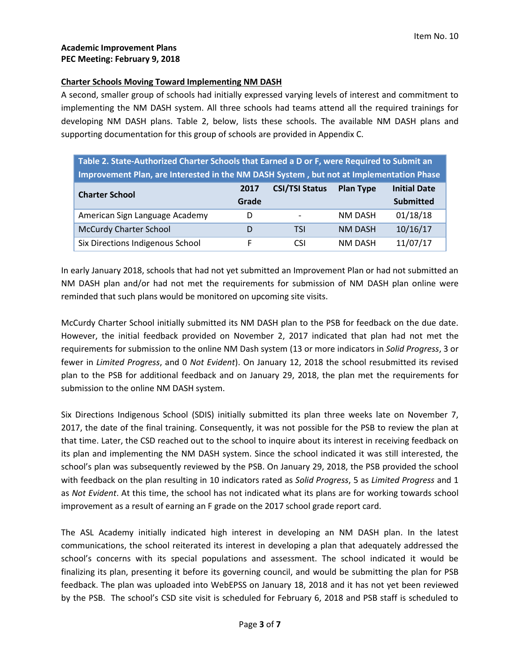#### **Charter Schools Moving Toward Implementing NM DASH**

A second, smaller group of schools had initially expressed varying levels of interest and commitment to implementing the NM DASH system. All three schools had teams attend all the required trainings for developing NM DASH plans. Table 2, below, lists these schools. The available NM DASH plans and supporting documentation for this group of schools are provided in Appendix C.

| Table 2. State-Authorized Charter Schools that Earned a D or F, were Required to Submit an |       |                          |                  |                     |  |  |
|--------------------------------------------------------------------------------------------|-------|--------------------------|------------------|---------------------|--|--|
| Improvement Plan, are Interested in the NM DASH System, but not at Implementation Phase    |       |                          |                  |                     |  |  |
| <b>Charter School</b>                                                                      | 2017  | <b>CSI/TSI Status</b>    | <b>Plan Type</b> | <b>Initial Date</b> |  |  |
|                                                                                            | Grade |                          |                  | <b>Submitted</b>    |  |  |
| American Sign Language Academy                                                             | D     | $\overline{\phantom{0}}$ | NM DASH          | 01/18/18            |  |  |
| <b>McCurdy Charter School</b>                                                              | D     | TSI                      | <b>NM DASH</b>   | 10/16/17            |  |  |
| Six Directions Indigenous School                                                           | F     | CSI.                     | <b>NM DASH</b>   | 11/07/17            |  |  |

In early January 2018, schools that had not yet submitted an Improvement Plan or had not submitted an NM DASH plan and/or had not met the requirements for submission of NM DASH plan online were reminded that such plans would be monitored on upcoming site visits.

McCurdy Charter School initially submitted its NM DASH plan to the PSB for feedback on the due date. However, the initial feedback provided on November 2, 2017 indicated that plan had not met the requirements for submission to the online NM Dash system (13 or more indicators in *Solid Progress*, 3 or fewer in *Limited Progress*, and 0 *Not Evident*). On January 12, 2018 the school resubmitted its revised plan to the PSB for additional feedback and on January 29, 2018, the plan met the requirements for submission to the online NM DASH system.

Six Directions Indigenous School (SDIS) initially submitted its plan three weeks late on November 7, 2017, the date of the final training. Consequently, it was not possible for the PSB to review the plan at that time. Later, the CSD reached out to the school to inquire about its interest in receiving feedback on its plan and implementing the NM DASH system. Since the school indicated it was still interested, the school's plan was subsequently reviewed by the PSB. On January 29, 2018, the PSB provided the school with feedback on the plan resulting in 10 indicators rated as *Solid Progress*, 5 as *Limited Progress* and 1 as *Not Evident*. At this time, the school has not indicated what its plans are for working towards school improvement as a result of earning an F grade on the 2017 school grade report card.

The ASL Academy initially indicated high interest in developing an NM DASH plan. In the latest communications, the school reiterated its interest in developing a plan that adequately addressed the school's concerns with its special populations and assessment. The school indicated it would be finalizing its plan, presenting it before its governing council, and would be submitting the plan for PSB feedback. The plan was uploaded into WebEPSS on January 18, 2018 and it has not yet been reviewed by the PSB. The school's CSD site visit is scheduled for February 6, 2018 and PSB staff is scheduled to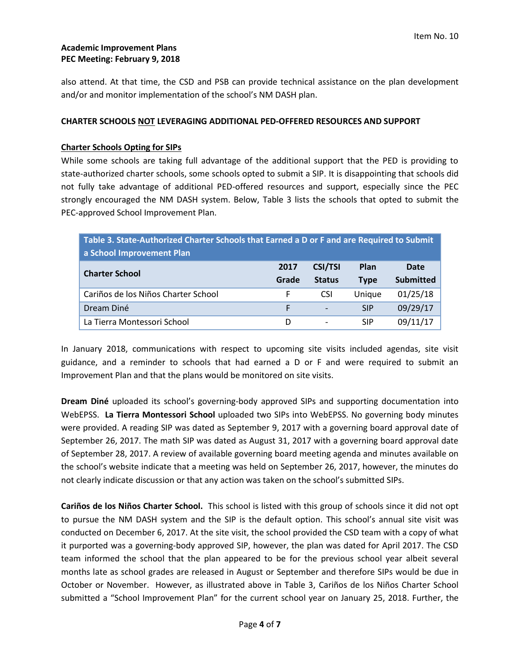also attend. At that time, the CSD and PSB can provide technical assistance on the plan development and/or and monitor implementation of the school's NM DASH plan.

# **CHARTER SCHOOLS NOT LEVERAGING ADDITIONAL PED-OFFERED RESOURCES AND SUPPORT**

# **Charter Schools Opting for SIPs**

While some schools are taking full advantage of the additional support that the PED is providing to state-authorized charter schools, some schools opted to submit a SIP. It is disappointing that schools did not fully take advantage of additional PED-offered resources and support, especially since the PEC strongly encouraged the NM DASH system. Below, Table 3 lists the schools that opted to submit the PEC-approved School Improvement Plan.

| Table 3. State-Authorized Charter Schools that Earned a D or F and are Required to Submit |       |                              |             |           |
|-------------------------------------------------------------------------------------------|-------|------------------------------|-------------|-----------|
| a School Improvement Plan                                                                 |       |                              |             |           |
| <b>Charter School</b>                                                                     | 2017  | <b>CSI/TSI</b>               | Plan        | Date      |
|                                                                                           | Grade | <b>Status</b>                | <b>Type</b> | Submitted |
| Cariños de los Niños Charter School                                                       | F     | <b>CSI</b>                   | Unique      | 01/25/18  |
| Dream Diné                                                                                | F     | $\qquad \qquad \blacksquare$ | <b>SIP</b>  | 09/29/17  |
| La Tierra Montessori School                                                               | D     |                              | <b>SIP</b>  | 09/11/17  |

In January 2018, communications with respect to upcoming site visits included agendas, site visit guidance, and a reminder to schools that had earned a D or F and were required to submit an Improvement Plan and that the plans would be monitored on site visits.

**Dream Diné** uploaded its school's governing-body approved SIPs and supporting documentation into WebEPSS. **La Tierra Montessori School** uploaded two SIPs into WebEPSS. No governing body minutes were provided. A reading SIP was dated as September 9, 2017 with a governing board approval date of September 26, 2017. The math SIP was dated as August 31, 2017 with a governing board approval date of September 28, 2017. A review of available governing board meeting agenda and minutes available on the school's website indicate that a meeting was held on September 26, 2017, however, the minutes do not clearly indicate discussion or that any action was taken on the school's submitted SIPs.

**Cariños de los Niños Charter School.** This school is listed with this group of schools since it did not opt to pursue the NM DASH system and the SIP is the default option. This school's annual site visit was conducted on December 6, 2017. At the site visit, the school provided the CSD team with a copy of what it purported was a governing-body approved SIP, however, the plan was dated for April 2017. The CSD team informed the school that the plan appeared to be for the previous school year albeit several months late as school grades are released in August or September and therefore SIPs would be due in October or November. However, as illustrated above in Table 3, Cariños de los Niños Charter School submitted a "School Improvement Plan" for the current school year on January 25, 2018. Further, the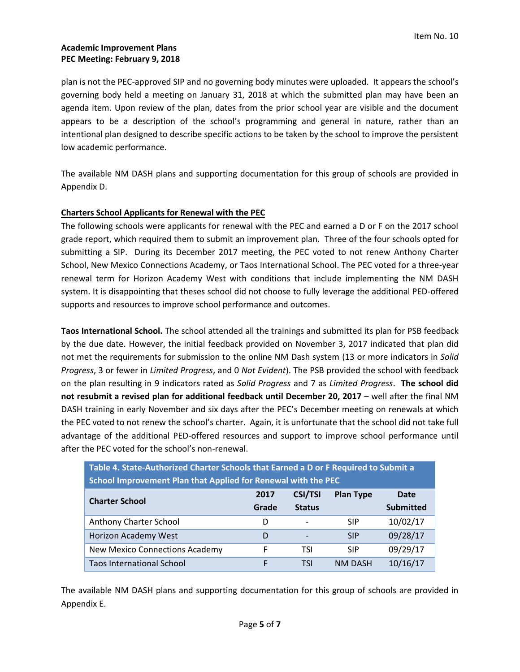plan is not the PEC-approved SIP and no governing body minutes were uploaded.It appears the school's governing body held a meeting on January 31, 2018 at which the submitted plan may have been an agenda item. Upon review of the plan, dates from the prior school year are visible and the document appears to be a description of the school's programming and general in nature, rather than an intentional plan designed to describe specific actions to be taken by the school to improve the persistent low academic performance.

The available NM DASH plans and supporting documentation for this group of schools are provided in Appendix D.

# **Charters School Applicants for Renewal with the PEC**

The following schools were applicants for renewal with the PEC and earned a D or F on the 2017 school grade report, which required them to submit an improvement plan. Three of the four schools opted for submitting a SIP. During its December 2017 meeting, the PEC voted to not renew Anthony Charter School, New Mexico Connections Academy, or Taos International School. The PEC voted for a three-year renewal term for Horizon Academy West with conditions that include implementing the NM DASH system. It is disappointing that theses school did not choose to fully leverage the additional PED-offered supports and resources to improve school performance and outcomes.

**Taos International School.** The school attended all the trainings and submitted its plan for PSB feedback by the due date. However, the initial feedback provided on November 3, 2017 indicated that plan did not met the requirements for submission to the online NM Dash system (13 or more indicators in *Solid Progress*, 3 or fewer in *Limited Progress*, and 0 *Not Evident*). The PSB provided the school with feedback on the plan resulting in 9 indicators rated as *Solid Progress* and 7 as *Limited Progress*. **The school did not resubmit a revised plan for additional feedback until December 20, 2017** – well after the final NM DASH training in early November and six days after the PEC's December meeting on renewals at which the PEC voted to not renew the school's charter. Again, it is unfortunate that the school did not take full advantage of the additional PED-offered resources and support to improve school performance until after the PEC voted for the school's non-renewal.

| TARIC TERMIC / MINIOTECH GIMTICI BUILDOID INII EMING A B OF FICHMICH IO BURNIN A |       |                          |                  |                  |  |
|----------------------------------------------------------------------------------|-------|--------------------------|------------------|------------------|--|
| School Improvement Plan that Applied for Renewal with the PEC                    |       |                          |                  |                  |  |
| <b>Charter School</b>                                                            | 2017  | <b>CSI/TSI</b>           | <b>Plan Type</b> | <b>Date</b>      |  |
|                                                                                  | Grade | <b>Status</b>            |                  | <b>Submitted</b> |  |
| Anthony Charter School                                                           | D     | $\overline{\phantom{a}}$ | <b>SIP</b>       | 10/02/17         |  |
| Horizon Academy West                                                             | D     | $\qquad \qquad$          | <b>SIP</b>       | 09/28/17         |  |
| <b>New Mexico Connections Academy</b>                                            | F     | TSI                      | <b>SIP</b>       | 09/29/17         |  |
| <b>Taos International School</b>                                                 | F     | TSI                      | <b>NM DASH</b>   | 10/16/17         |  |

**Table 4. State-Authorized Charter Schools that Earned a D or F Required to Submit a** 

The available NM DASH plans and supporting documentation for this group of schools are provided in Appendix E.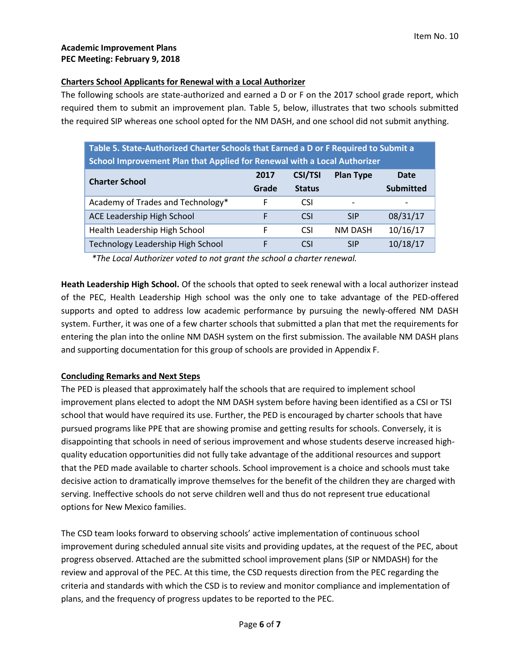# **Charters School Applicants for Renewal with a Local Authorizer**

The following schools are state-authorized and earned a D or F on the 2017 school grade report, which required them to submit an improvement plan. Table 5, below, illustrates that two schools submitted the required SIP whereas one school opted for the NM DASH, and one school did not submit anything.

| Table 5. State-Authorized Charter Schools that Earned a D or F Required to Submit a |       |                |                          |                  |  |
|-------------------------------------------------------------------------------------|-------|----------------|--------------------------|------------------|--|
| School Improvement Plan that Applied for Renewal with a Local Authorizer            |       |                |                          |                  |  |
| <b>Charter School</b>                                                               | 2017  | <b>CSI/TSI</b> | <b>Plan Type</b>         | Date             |  |
|                                                                                     | Grade | <b>Status</b>  |                          | <b>Submitted</b> |  |
| Academy of Trades and Technology*                                                   | F     | <b>CSI</b>     | $\overline{\phantom{0}}$ |                  |  |
| ACE Leadership High School                                                          | F     | <b>CSI</b>     | <b>SIP</b>               | 08/31/17         |  |
| Health Leadership High School                                                       | F     | <b>CSI</b>     | <b>NM DASH</b>           | 10/16/17         |  |
| Technology Leadership High School                                                   | F     | <b>CSI</b>     | <b>SIP</b>               | 10/18/17         |  |

*\*The Local Authorizer voted to not grant the school a charter renewal.* 

**Heath Leadership High School.** Of the schools that opted to seek renewal with a local authorizer instead of the PEC, Health Leadership High school was the only one to take advantage of the PED-offered supports and opted to address low academic performance by pursuing the newly-offered NM DASH system. Further, it was one of a few charter schools that submitted a plan that met the requirements for entering the plan into the online NM DASH system on the first submission. The available NM DASH plans and supporting documentation for this group of schools are provided in Appendix F.

# **Concluding Remarks and Next Steps**

The PED is pleased that approximately half the schools that are required to implement school improvement plans elected to adopt the NM DASH system before having been identified as a CSI or TSI school that would have required its use. Further, the PED is encouraged by charter schools that have pursued programs like PPE that are showing promise and getting results for schools. Conversely, it is disappointing that schools in need of serious improvement and whose students deserve increased highquality education opportunities did not fully take advantage of the additional resources and support that the PED made available to charter schools. School improvement is a choice and schools must take decisive action to dramatically improve themselves for the benefit of the children they are charged with serving. Ineffective schools do not serve children well and thus do not represent true educational options for New Mexico families.

The CSD team looks forward to observing schools' active implementation of continuous school improvement during scheduled annual site visits and providing updates, at the request of the PEC, about progress observed. Attached are the submitted school improvement plans (SIP or NMDASH) for the review and approval of the PEC. At this time, the CSD requests direction from the PEC regarding the criteria and standards with which the CSD is to review and monitor compliance and implementation of plans, and the frequency of progress updates to be reported to the PEC.